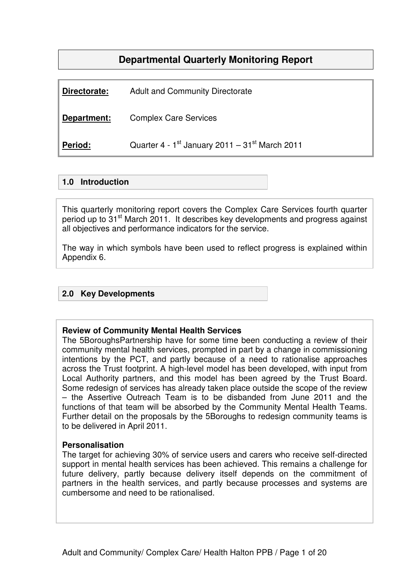# **Departmental Quarterly Monitoring Report**

| Directorate: | <b>Adult and Community Directorate</b>              |
|--------------|-----------------------------------------------------|
| Department:  | <b>Complex Care Services</b>                        |
| Period:      | Quarter 4 - $1st$ January 2011 – 31 $st$ March 2011 |

### **1.0 Introduction**

This quarterly monitoring report covers the Complex Care Services fourth quarter period up to 31<sup>st</sup> March 2011. It describes key developments and progress against all objectives and performance indicators for the service.

The way in which symbols have been used to reflect progress is explained within Appendix 6.

### **2.0 Key Developments**

#### **Review of Community Mental Health Services**

The 5BoroughsPartnership have for some time been conducting a review of their community mental health services, prompted in part by a change in commissioning intentions by the PCT, and partly because of a need to rationalise approaches across the Trust footprint. A high-level model has been developed, with input from Local Authority partners, and this model has been agreed by the Trust Board. Some redesign of services has already taken place outside the scope of the review – the Assertive Outreach Team is to be disbanded from June 2011 and the functions of that team will be absorbed by the Community Mental Health Teams. Further detail on the proposals by the 5Boroughs to redesign community teams is to be delivered in April 2011.

#### **Personalisation**

The target for achieving 30% of service users and carers who receive self-directed support in mental health services has been achieved. This remains a challenge for future delivery, partly because delivery itself depends on the commitment of partners in the health services, and partly because processes and systems are cumbersome and need to be rationalised.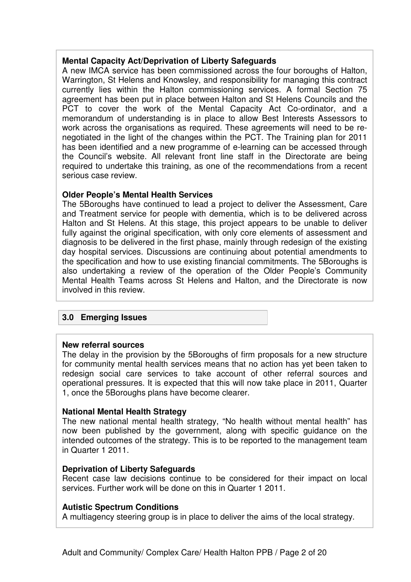### **Mental Capacity Act/Deprivation of Liberty Safeguards**

A new IMCA service has been commissioned across the four boroughs of Halton, Warrington, St Helens and Knowsley, and responsibility for managing this contract currently lies within the Halton commissioning services. A formal Section 75 agreement has been put in place between Halton and St Helens Councils and the PCT to cover the work of the Mental Capacity Act Co-ordinator, and a memorandum of understanding is in place to allow Best Interests Assessors to work across the organisations as required. These agreements will need to be renegotiated in the light of the changes within the PCT. The Training plan for 2011 has been identified and a new programme of e-learning can be accessed through the Council's website. All relevant front line staff in the Directorate are being required to undertake this training, as one of the recommendations from a recent serious case review.

### **Older People's Mental Health Services**

The 5Boroughs have continued to lead a project to deliver the Assessment, Care and Treatment service for people with dementia, which is to be delivered across Halton and St Helens. At this stage, this project appears to be unable to deliver fully against the original specification, with only core elements of assessment and diagnosis to be delivered in the first phase, mainly through redesign of the existing day hospital services. Discussions are continuing about potential amendments to the specification and how to use existing financial commitments. The 5Boroughs is also undertaking a review of the operation of the Older People's Community Mental Health Teams across St Helens and Halton, and the Directorate is now involved in this review.

### **3.0 Emerging Issues**

### **New referral sources**

The delay in the provision by the 5Boroughs of firm proposals for a new structure for community mental health services means that no action has yet been taken to redesign social care services to take account of other referral sources and operational pressures. It is expected that this will now take place in 2011, Quarter 1, once the 5Boroughs plans have become clearer.

#### **National Mental Health Strategy**

The new national mental health strategy, "No health without mental health" has now been published by the government, along with specific guidance on the intended outcomes of the strategy. This is to be reported to the management team in Quarter 1 2011.

### **Deprivation of Liberty Safeguards**

Recent case law decisions continue to be considered for their impact on local services. Further work will be done on this in Quarter 1 2011.

### **Autistic Spectrum Conditions**

A multiagency steering group is in place to deliver the aims of the local strategy.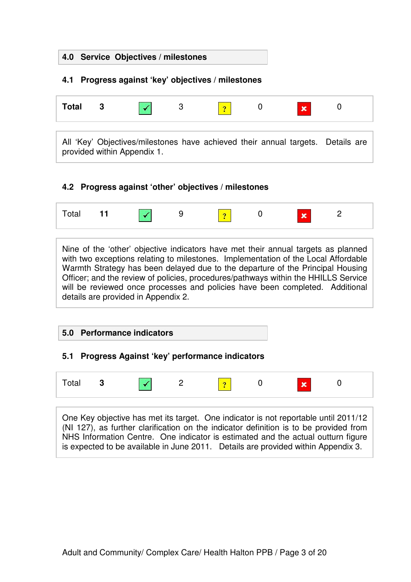# **4.0 Service Objectives / milestones**

## **4.1 Progress against 'key' objectives / milestones**

| Total |                                                                                                                |  |  | $\mathbf x$ |  |
|-------|----------------------------------------------------------------------------------------------------------------|--|--|-------------|--|
|       | All 'Key' Objectives/milestones have achieved their annual targets. Details are<br>provided within Appendix 1. |  |  |             |  |

### **4.2 Progress against 'other' objectives / milestones**



Nine of the 'other' objective indicators have met their annual targets as planned with two exceptions relating to milestones. Implementation of the Local Affordable Warmth Strategy has been delayed due to the departure of the Principal Housing Officer; and the review of policies, procedures/pathways within the HHILLS Service will be reviewed once processes and policies have been completed. Additional details are provided in Appendix 2.

### **5.0 Performance indicators**

### **5.1 Progress Against 'key' performance indicators**

| Total | -3 | $\sim$ | $\Omega$ | $\bullet$ | $\sim$ | $\overline{\textbf{v}}$ |  |
|-------|----|--------|----------|-----------|--------|-------------------------|--|
|       |    |        |          |           |        |                         |  |

One Key objective has met its target. One indicator is not reportable until 2011/12 (NI 127), as further clarification on the indicator definition is to be provided from NHS Information Centre. One indicator is estimated and the actual outturn figure is expected to be available in June 2011. Details are provided within Appendix 3.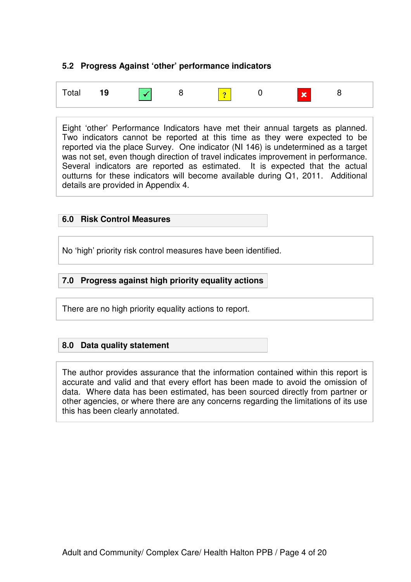### **5.2 Progress Against 'other' performance indicators**

| Total 19 $\sqrt{8}$ 8 $\frac{1}{2}$ 0 $\sqrt{8}$ 8 |  |  |  |  |  |  |
|----------------------------------------------------|--|--|--|--|--|--|
|----------------------------------------------------|--|--|--|--|--|--|

Eight 'other' Performance Indicators have met their annual targets as planned. Two indicators cannot be reported at this time as they were expected to be reported via the place Survey. One indicator (NI 146) is undetermined as a target was not set, even though direction of travel indicates improvement in performance. Several indicators are reported as estimated. It is expected that the actual outturns for these indicators will become available during Q1, 2011. Additional details are provided in Appendix 4.

### **6.0 Risk Control Measures**

No 'high' priority risk control measures have been identified.

### **7.0 Progress against high priority equality actions**

There are no high priority equality actions to report.

### **8.0 Data quality statement**

The author provides assurance that the information contained within this report is accurate and valid and that every effort has been made to avoid the omission of data. Where data has been estimated, has been sourced directly from partner or other agencies, or where there are any concerns regarding the limitations of its use this has been clearly annotated.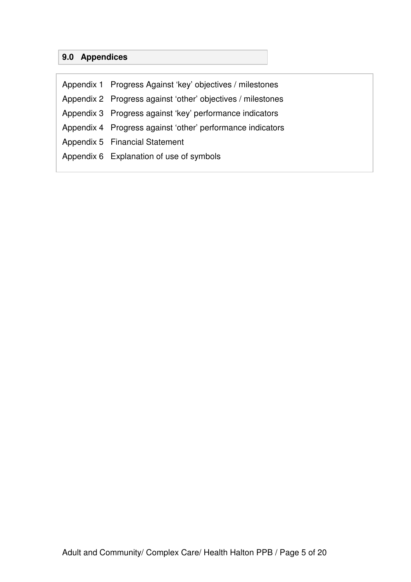# **9.0 Appendices**

| Appendix 1 Progress Against 'key' objectives / milestones   |
|-------------------------------------------------------------|
| Appendix 2 Progress against 'other' objectives / milestones |
| Appendix 3 Progress against 'key' performance indicators    |
| Appendix 4 Progress against 'other' performance indicators  |
| Appendix 5 Financial Statement                              |
| Appendix 6 Explanation of use of symbols                    |
|                                                             |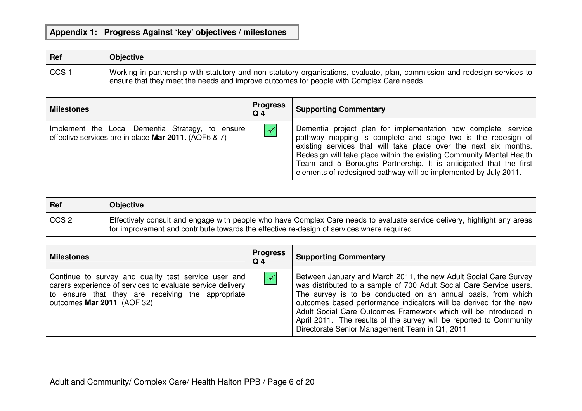# **Appendix 1: Progress Against 'key' objectives / milestones**

| Ref  | <b>Objective</b>                                                                                                                                                                                                      |
|------|-----------------------------------------------------------------------------------------------------------------------------------------------------------------------------------------------------------------------|
| CCS1 | Working in partnership with statutory and non statutory organisations, evaluate, plan, commission and redesign services to<br>ensure that they meet the needs and improve outcomes for people with Complex Care needs |

| <b>Milestones</b>                                                                                        | <b>Progress</b><br>$Q_4$ | <b>Supporting Commentary</b>                                                                                                                                                                                                                                                                                                                                                                                        |
|----------------------------------------------------------------------------------------------------------|--------------------------|---------------------------------------------------------------------------------------------------------------------------------------------------------------------------------------------------------------------------------------------------------------------------------------------------------------------------------------------------------------------------------------------------------------------|
| Implement the Local Dementia Strategy, to ensure<br>effective services are in place Mar 2011. (AOF6 & 7) |                          | Dementia project plan for implementation now complete, service<br>pathway mapping is complete and stage two is the redesign of<br>existing services that will take place over the next six months.<br>Redesign will take place within the existing Community Mental Health<br>Team and 5 Boroughs Partnership. It is anticipated that the first<br>elements of redesigned pathway will be implemented by July 2011. |

| Ref  | <b>Objective</b>                                                                                                                                                                                                      |
|------|-----------------------------------------------------------------------------------------------------------------------------------------------------------------------------------------------------------------------|
| CCS2 | Effectively consult and engage with people who have Complex Care needs to evaluate service delivery, highlight any areas<br>for improvement and contribute towards the effective re-design of services where required |

| <b>Milestones</b>                                                                                                                                                                                     | <b>Progress</b><br>Q <sub>4</sub> | <b>Supporting Commentary</b>                                                                                                                                                                                                                                                                                                                                                                                                                                               |
|-------------------------------------------------------------------------------------------------------------------------------------------------------------------------------------------------------|-----------------------------------|----------------------------------------------------------------------------------------------------------------------------------------------------------------------------------------------------------------------------------------------------------------------------------------------------------------------------------------------------------------------------------------------------------------------------------------------------------------------------|
| Continue to survey and quality test service user and<br>carers experience of services to evaluate service delivery<br>to ensure that they are receiving the appropriate<br>outcomes Mar 2011 (AOF 32) | $\blacktriangledown$              | Between January and March 2011, the new Adult Social Care Survey<br>was distributed to a sample of 700 Adult Social Care Service users.<br>The survey is to be conducted on an annual basis, from which<br>outcomes based performance indicators will be derived for the new<br>Adult Social Care Outcomes Framework which will be introduced in<br>April 2011. The results of the survey will be reported to Community<br>Directorate Senior Management Team in Q1, 2011. |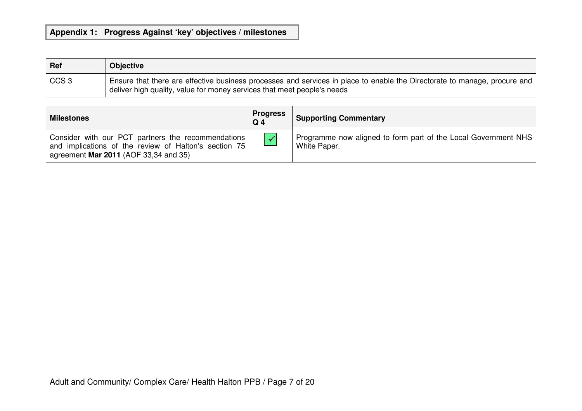# **Appendix 1: Progress Against 'key' objectives / milestones**

| Ref              | <b>Objective</b>                                                                                                                                                                                     |
|------------------|------------------------------------------------------------------------------------------------------------------------------------------------------------------------------------------------------|
| CCS <sub>3</sub> | Ensure that there are effective business processes and services in place to enable the Directorate to manage, procure and<br>deliver high quality, value for money services that meet people's needs |

| <b>Milestones</b>                                                                                                                                    | <b>Progress</b><br>Q <sub>4</sub> | <b>Supporting Commentary</b>                                                   |
|------------------------------------------------------------------------------------------------------------------------------------------------------|-----------------------------------|--------------------------------------------------------------------------------|
| Consider with our PCT partners the recommendations<br>and implications of the review of Halton's section 75<br>agreement Mar 2011 (AOF 33,34 and 35) | $\sqrt{2}$                        | Programme now aligned to form part of the Local Government NHS<br>White Paper. |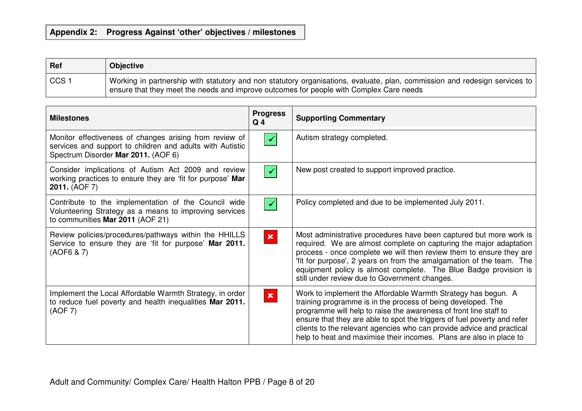# **Appendix 2: Progress Against 'other' objectives / milestones**

| Ref                 | <b>Objective</b>                                                                                                                                                                                                          |
|---------------------|---------------------------------------------------------------------------------------------------------------------------------------------------------------------------------------------------------------------------|
| $\frac{1}{2}$ CCS 1 | Working in partnership with statutory and non statutory organisations, evaluate, plan, commission and redesign services to  <br>' ensure that they meet the needs and improve outcomes for people with Complex Care needs |

| <b>Milestones</b>                                                                                                                                           | <b>Progress</b><br>Q <sub>4</sub> | <b>Supporting Commentary</b>                                                                                                                                                                                                                                                                                                                                                                                                   |
|-------------------------------------------------------------------------------------------------------------------------------------------------------------|-----------------------------------|--------------------------------------------------------------------------------------------------------------------------------------------------------------------------------------------------------------------------------------------------------------------------------------------------------------------------------------------------------------------------------------------------------------------------------|
| Monitor effectiveness of changes arising from review of<br>services and support to children and adults with Autistic<br>Spectrum Disorder Mar 2011. (AOF 6) |                                   | Autism strategy completed.                                                                                                                                                                                                                                                                                                                                                                                                     |
| Consider implications of Autism Act 2009 and review<br>working practices to ensure they are 'fit for purpose' Mar<br>2011. (AOF 7)                          |                                   | New post created to support improved practice.                                                                                                                                                                                                                                                                                                                                                                                 |
| Contribute to the implementation of the Council wide<br>Volunteering Strategy as a means to improving services<br>to communities Mar 2011 (AOF 21)          |                                   | Policy completed and due to be implemented July 2011.                                                                                                                                                                                                                                                                                                                                                                          |
| Review policies/procedures/pathways within the HHILLS<br>Service to ensure they are 'fit for purpose' Mar 2011.<br>(AOF6 & 7)                               | $\pmb{\times}$                    | Most administrative procedures have been captured but more work is<br>required. We are almost complete on capturing the major adaptation<br>process - once complete we will then review them to ensure they are<br>'fit for purpose', 2 years on from the amalgamation of the team. The<br>equipment policy is almost complete. The Blue Badge provision is<br>still under review due to Government changes.                   |
| Implement the Local Affordable Warmth Strategy, in order<br>to reduce fuel poverty and health inequalities Mar 2011.<br>(AOF 7)                             | $\mathbf x$                       | Work to implement the Affordable Warmth Strategy has begun. A<br>training programme is in the process of being developed. The<br>programme will help to raise the awareness of front line staff to<br>ensure that they are able to spot the triggers of fuel poverty and refer<br>clients to the relevant agencies who can provide advice and practical<br>help to heat and maximise their incomes. Plans are also in place to |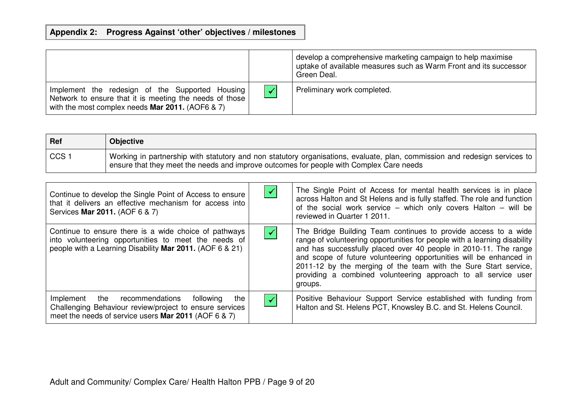# **Appendix 2: Progress Against 'other' objectives / milestones**

|                                                                                                                                                                       |              | develop a comprehensive marketing campaign to help maximise<br>uptake of available measures such as Warm Front and its successor<br>Green Deal. |
|-----------------------------------------------------------------------------------------------------------------------------------------------------------------------|--------------|-------------------------------------------------------------------------------------------------------------------------------------------------|
| Implement the redesign of the Supported Housing<br>Network to ensure that it is meeting the needs of those<br>with the most complex needs <b>Mar 2011.</b> (AOF6 & 7) | $\checkmark$ | Preliminary work completed.                                                                                                                     |

| Ref              | <b>Objective</b>                                                                                                                                                                                                        |
|------------------|-------------------------------------------------------------------------------------------------------------------------------------------------------------------------------------------------------------------------|
| CCS <sub>1</sub> | Working in partnership with statutory and non statutory organisations, evaluate, plan, commission and redesign services to  <br>ensure that they meet the needs and improve outcomes for people with Complex Care needs |

| Continue to develop the Single Point of Access to ensure<br>that it delivers an effective mechanism for access into<br>Services Mar 2011. (AOF 6 & 7)                     | ✔                    | The Single Point of Access for mental health services is in place<br>across Halton and St Helens and is fully staffed. The role and function<br>of the social work service - which only covers Halton - will be<br>reviewed in Quarter 1 2011.                                                                                                                                                                                        |
|---------------------------------------------------------------------------------------------------------------------------------------------------------------------------|----------------------|---------------------------------------------------------------------------------------------------------------------------------------------------------------------------------------------------------------------------------------------------------------------------------------------------------------------------------------------------------------------------------------------------------------------------------------|
| Continue to ensure there is a wide choice of pathways<br>into volunteering opportunities to meet the needs of<br>people with a Learning Disability Mar 2011. (AOF 6 & 21) | $\blacktriangledown$ | The Bridge Building Team continues to provide access to a wide<br>range of volunteering opportunities for people with a learning disability<br>and has successfully placed over 40 people in 2010-11. The range<br>and scope of future volunteering opportunities will be enhanced in<br>2011-12 by the merging of the team with the Sure Start service,<br>providing a combined volunteering approach to all service user<br>groups. |
| Implement the recommendations<br>following<br>the<br>Challenging Behaviour review/project to ensure services<br>meet the needs of service users Mar 2011 (AOF 6 & 7)      | $\blacktriangledown$ | Positive Behaviour Support Service established with funding from<br>Halton and St. Helens PCT, Knowsley B.C. and St. Helens Council.                                                                                                                                                                                                                                                                                                  |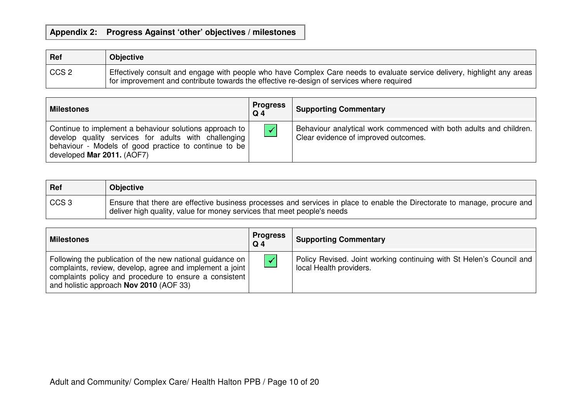# **Appendix 2: Progress Against 'other' objectives / milestones**

| Ref     | <b>Objective</b>                                                                                                                                                                                                        |
|---------|-------------------------------------------------------------------------------------------------------------------------------------------------------------------------------------------------------------------------|
| l CCS 2 | Effectively consult and engage with people who have Complex Care needs to evaluate service delivery, highlight any areas l<br>for improvement and contribute towards the effective re-design of services where required |

| <b>Milestones</b>                                                                                                                                                                                      | <b>Progress</b><br>$Q_4$ | <b>Supporting Commentary</b>                                                                               |
|--------------------------------------------------------------------------------------------------------------------------------------------------------------------------------------------------------|--------------------------|------------------------------------------------------------------------------------------------------------|
| Continue to implement a behaviour solutions approach to<br>develop quality services for adults with challenging<br>behaviour - Models of good practice to continue to be<br>developed Mar 2011. (AOF7) | $\blacktriangledown$     | Behaviour analytical work commenced with both adults and children.<br>Clear evidence of improved outcomes. |

| Ref              | <b>Objective</b>                                                                                                                                                                                       |
|------------------|--------------------------------------------------------------------------------------------------------------------------------------------------------------------------------------------------------|
| CCS <sub>3</sub> | Ensure that there are effective business processes and services in place to enable the Directorate to manage, procure and  <br>deliver high quality, value for money services that meet people's needs |

| <b>Milestones</b>                                                                                                                                                                                                                   | <b>Progress</b><br>$Q_4$ | <b>Supporting Commentary</b>                                                                    |
|-------------------------------------------------------------------------------------------------------------------------------------------------------------------------------------------------------------------------------------|--------------------------|-------------------------------------------------------------------------------------------------|
| Following the publication of the new national guidance on  <br>complaints, review, develop, agree and implement a joint<br>complaints policy and procedure to ensure a consistent<br>and holistic approach <b>Nov 2010</b> (AOF 33) | $\blacktriangledown$     | Policy Revised. Joint working continuing with St Helen's Council and<br>local Health providers. |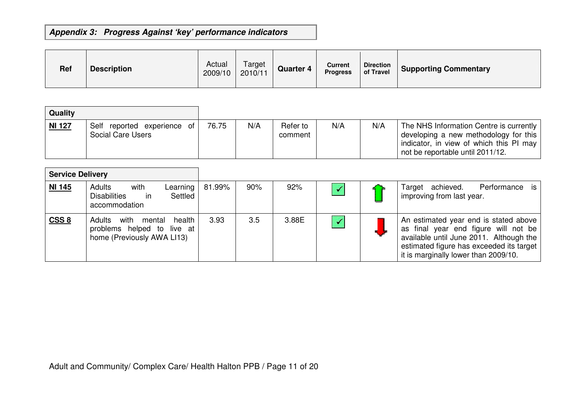| <b>Ref</b> | <b>Description</b> | Actual<br>2009/10 | Target<br>2010/11 | <b>Quarter 4</b> | Current<br><b>Progress</b> | <b>Direction</b><br>of Travel | <b>Supporting Commentary</b> |
|------------|--------------------|-------------------|-------------------|------------------|----------------------------|-------------------------------|------------------------------|
|------------|--------------------|-------------------|-------------------|------------------|----------------------------|-------------------------------|------------------------------|

| Quality       |                                                  |       |     |                     |     |     |                                                                                                                                                                 |
|---------------|--------------------------------------------------|-------|-----|---------------------|-----|-----|-----------------------------------------------------------------------------------------------------------------------------------------------------------------|
| <b>NI 127</b> | Self reported experience of<br>Social Care Users | 76.75 | N/A | Refer to<br>comment | N/A | N/A | The NHS Information Centre is currently<br>developing a new methodology for this<br>indicator, in view of which this PI may<br>not be reportable until 2011/12. |

| <b>Service Delivery</b> |                                                                                             |        |     |       |                      |                                                                                                                                                                                                              |
|-------------------------|---------------------------------------------------------------------------------------------|--------|-----|-------|----------------------|--------------------------------------------------------------------------------------------------------------------------------------------------------------------------------------------------------------|
| <b>NI 145</b>           | Adults<br>with<br>Learning<br><b>Disabilities</b><br>in in<br>Settled<br>accommodation      | 81.99% | 90% | 92%   |                      | Target achieved. Performance is<br>improving from last year.                                                                                                                                                 |
| CSS 8                   | with mental<br>health<br>Adults<br>problems helped to live at<br>home (Previously AWA LI13) | 3.93   | 3.5 | 3.88E | $\blacktriangledown$ | An estimated year end is stated above<br>as final year end figure will not be<br>available until June 2011. Although the<br>estimated figure has exceeded its target<br>it is marginally lower than 2009/10. |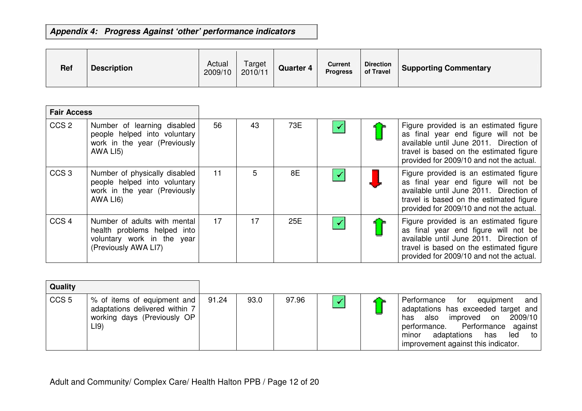| <b>Ref</b> | <b>Description</b> | Actual<br>2009/10 | Target<br>2010/11 | <b>Quarter 4</b> | <b>Current</b><br><b>Progress</b> | <b>Direction</b><br>of Travel | <b>Supporting Commentary</b> |
|------------|--------------------|-------------------|-------------------|------------------|-----------------------------------|-------------------------------|------------------------------|
|------------|--------------------|-------------------|-------------------|------------------|-----------------------------------|-------------------------------|------------------------------|

|                  | <b>Fair Access</b>                                                                                                |    |    |     |                      |                                                                                                                                                                                                                  |
|------------------|-------------------------------------------------------------------------------------------------------------------|----|----|-----|----------------------|------------------------------------------------------------------------------------------------------------------------------------------------------------------------------------------------------------------|
| CCS <sub>2</sub> | Number of learning disabled<br>people helped into voluntary<br>work in the year (Previously<br>AWA LI5)           | 56 | 43 | 73E | $\checkmark$         | Figure provided is an estimated figure<br>as final year end figure will not be<br>available until June 2011. Direction of<br>travel is based on the estimated figure<br>provided for 2009/10 and not the actual. |
| CCS <sub>3</sub> | Number of physically disabled<br>people helped into voluntary<br>work in the year (Previously<br>AWA LI6)         | 11 | 5  | 8E  | $\blacktriangledown$ | Figure provided is an estimated figure<br>as final year end figure will not be<br>available until June 2011. Direction of<br>travel is based on the estimated figure<br>provided for 2009/10 and not the actual. |
| CCS <sub>4</sub> | Number of adults with mental<br>health problems helped into<br>voluntary work in the year<br>(Previously AWA LI7) | 17 | 17 | 25E | $\checkmark$         | Figure provided is an estimated figure<br>as final year end figure will not be<br>available until June 2011. Direction of<br>travel is based on the estimated figure<br>provided for 2009/10 and not the actual. |

| Quality          |                                                                                                      |       |      |       |  |                                                                                                                                                                                                                                       |
|------------------|------------------------------------------------------------------------------------------------------|-------|------|-------|--|---------------------------------------------------------------------------------------------------------------------------------------------------------------------------------------------------------------------------------------|
| CCS <sub>5</sub> | % of items of equipment and<br>adaptations delivered within 7<br>working days (Previously OP<br>L(9) | 91.24 | 93.0 | 97.96 |  | for equipment and<br>Performance<br>adaptations has exceeded target and<br>2009/10<br>also improved on<br>has<br>performance. Performance against<br>adaptations has<br>led<br>minor<br>— to ⊥<br>improvement against this indicator. |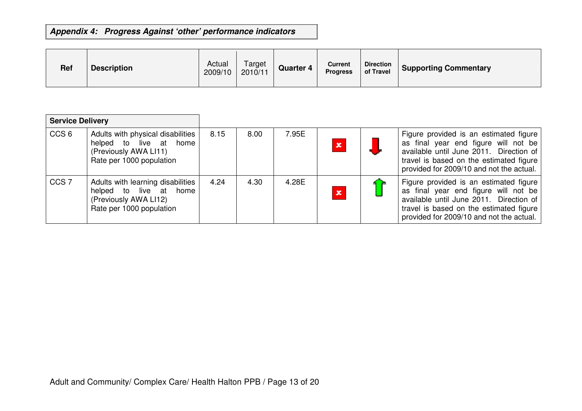| <b>Ref</b> | <b>Description</b> | Actual<br>2009/10 | Target<br>2010/11 | <b>Quarter 4</b> | <b>Current</b><br><b>Progress</b> | Direction  <br>of Travel | <b>Supporting Commentary</b> |
|------------|--------------------|-------------------|-------------------|------------------|-----------------------------------|--------------------------|------------------------------|
|------------|--------------------|-------------------|-------------------|------------------|-----------------------------------|--------------------------|------------------------------|

| <b>Service Delivery</b> |                                                                                                                  |      |      |       |             |                                                                                                                                                                                                                  |
|-------------------------|------------------------------------------------------------------------------------------------------------------|------|------|-------|-------------|------------------------------------------------------------------------------------------------------------------------------------------------------------------------------------------------------------------|
| CCS <sub>6</sub>        | Adults with physical disabilities<br>helped to live at home<br>(Previously AWA LI11)<br>Rate per 1000 population | 8.15 | 8.00 | 7.95E | ×           | Figure provided is an estimated figure<br>as final year end figure will not be<br>available until June 2011. Direction of<br>travel is based on the estimated figure<br>provided for 2009/10 and not the actual. |
| CCS <sub>7</sub>        | Adults with learning disabilities<br>helped to live at home<br>(Previously AWA LI12)<br>Rate per 1000 population | 4.24 | 4.30 | 4.28E | $\mathbf x$ | Figure provided is an estimated figure<br>as final year end figure will not be<br>available until June 2011. Direction of<br>travel is based on the estimated figure<br>provided for 2009/10 and not the actual. |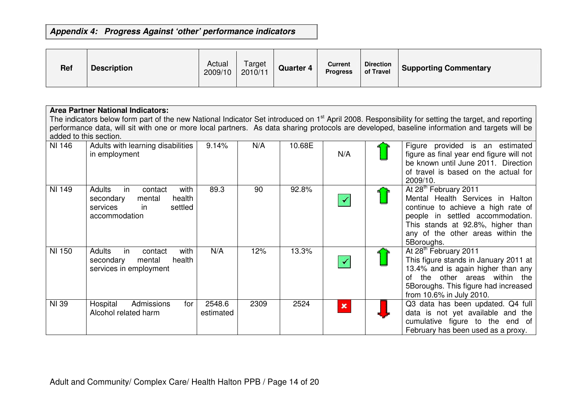| <b>Ref</b> | <b>Description</b> | Actual<br>2009/10 | Target<br>2010/11 | <b>Quarter 4</b> | <b>Current</b><br><b>Progress</b> | <b>Direction</b><br>of Travel | <b>Supporting Commentary</b> |
|------------|--------------------|-------------------|-------------------|------------------|-----------------------------------|-------------------------------|------------------------------|
|------------|--------------------|-------------------|-------------------|------------------|-----------------------------------|-------------------------------|------------------------------|

|              | <b>Area Partner National Indicators:</b>                                                                                                                                                                                                                                                                         |                     |      |        |                |  |                                                                                                                                                                                                                                         |  |  |  |  |
|--------------|------------------------------------------------------------------------------------------------------------------------------------------------------------------------------------------------------------------------------------------------------------------------------------------------------------------|---------------------|------|--------|----------------|--|-----------------------------------------------------------------------------------------------------------------------------------------------------------------------------------------------------------------------------------------|--|--|--|--|
|              | The indicators below form part of the new National Indicator Set introduced on 1 <sup>st</sup> April 2008. Responsibility for setting the target, and reporting<br>performance data, will sit with one or more local partners. As data sharing protocols are developed, baseline information and targets will be |                     |      |        |                |  |                                                                                                                                                                                                                                         |  |  |  |  |
|              | added to this section.                                                                                                                                                                                                                                                                                           |                     |      |        |                |  |                                                                                                                                                                                                                                         |  |  |  |  |
| NI 146       | Adults with learning disabilities<br>in employment                                                                                                                                                                                                                                                               | 9.14%               | N/A  | 10.68E | N/A            |  | Figure provided is an estimated<br>figure as final year end figure will not<br>be known until June 2011. Direction<br>of travel is based on the actual for<br>2009/10.                                                                  |  |  |  |  |
| NI 149       | Adults<br>in<br>with<br>contact<br>health<br>secondary<br>mental<br>settled<br>services<br>in.<br>accommodation                                                                                                                                                                                                  | 89.3                | 90   | 92.8%  |                |  | At 28 <sup>th</sup> February 2011<br>Mental Health Services in Halton<br>continue to achieve a high rate of<br>people in settled accommodation.<br>This stands at 92.8%, higher than<br>any of the other areas within the<br>5Boroughs. |  |  |  |  |
| NI 150       | <b>Adults</b><br>with<br>in<br>contact<br>secondary<br>health<br>mental<br>services in employment                                                                                                                                                                                                                | N/A                 | 12%  | 13.3%  |                |  | At 28 <sup>th</sup> February 2011<br>This figure stands in January 2011 at<br>13.4% and is again higher than any<br>of the other areas within the<br>5Boroughs. This figure had increased<br>from 10.6% in July 2010.                   |  |  |  |  |
| <b>NI 39</b> | Hospital<br>Admissions<br>for<br>Alcohol related harm                                                                                                                                                                                                                                                            | 2548.6<br>estimated | 2309 | 2524   | $\pmb{\times}$ |  | Q3 data has been updated. Q4 full<br>data is not yet available and the<br>cumulative figure to the end of<br>February has been used as a proxy.                                                                                         |  |  |  |  |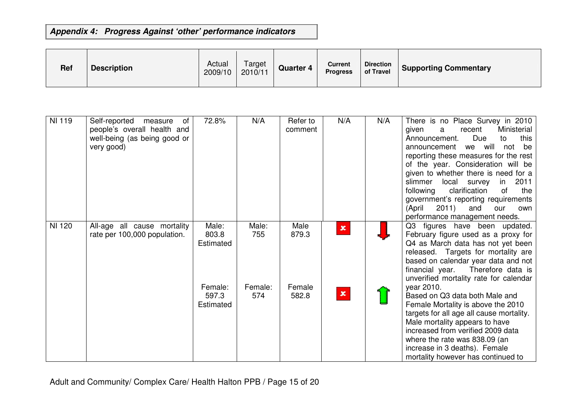| <b>Ref</b> | <b>Description</b> | Actual<br>2009/10 | Target<br>2010/11 | <b>Quarter 4</b> | <b>Current</b><br><b>Progress</b> | <b>Direction</b><br>of Travel | <b>Supporting Commentary</b> |
|------------|--------------------|-------------------|-------------------|------------------|-----------------------------------|-------------------------------|------------------------------|
|------------|--------------------|-------------------|-------------------|------------------|-----------------------------------|-------------------------------|------------------------------|

| <b>NI 119</b> | Self-reported<br>measure<br>of<br>people's overall health and<br>well-being (as being good or<br>very good) | 72.8%                         | N/A            | Refer to<br>comment | N/A            | N/A | There is no Place Survey in 2010<br>Ministerial<br>given<br>recent<br>a<br>Due<br>this<br>Announcement.<br>to<br>we will not<br>be<br>announcement<br>reporting these measures for the rest<br>of the year. Consideration will be<br>given to whether there is need for a<br>slimmer<br>local survey<br>2011<br>in.<br>clarification<br>following<br>of<br>the<br>government's reporting requirements<br>2011<br>(April<br>and<br>our<br>own<br>performance management needs. |
|---------------|-------------------------------------------------------------------------------------------------------------|-------------------------------|----------------|---------------------|----------------|-----|-------------------------------------------------------------------------------------------------------------------------------------------------------------------------------------------------------------------------------------------------------------------------------------------------------------------------------------------------------------------------------------------------------------------------------------------------------------------------------|
| NI 120        | All-age all cause mortality<br>rate per 100,000 population.                                                 | Male:<br>803.8<br>Estimated   | Male:<br>755   | Male<br>879.3       | $\pmb{\times}$ |     | Q3 figures have been updated.<br>February figure used as a proxy for<br>Q4 as March data has not yet been<br>released. Targets for mortality are<br>based on calendar year data and not<br>financial year.<br>Therefore data is<br>unverified mortality rate for calendar                                                                                                                                                                                                     |
|               |                                                                                                             | Female:<br>597.3<br>Estimated | Female:<br>574 | Female<br>582.8     | $\pmb{\times}$ |     | year 2010.<br>Based on Q3 data both Male and<br>Female Mortality is above the 2010<br>targets for all age all cause mortality.<br>Male mortality appears to have<br>increased from verified 2009 data<br>where the rate was 838.09 (an<br>increase in 3 deaths). Female<br>mortality however has continued to                                                                                                                                                                 |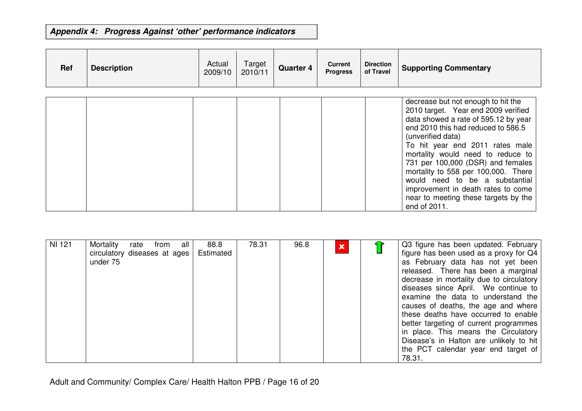| <b>Ref</b> | <b>Description</b> | Actual<br>2009/10 | Target<br>2010/11 | <b>Quarter 4</b> | <b>Current</b><br><b>Progress</b> | <b>Direction</b><br>of Travel | <b>Supporting Commentary</b>                                                                                                                                                                                                                                                                                                                                                                                                                                     |
|------------|--------------------|-------------------|-------------------|------------------|-----------------------------------|-------------------------------|------------------------------------------------------------------------------------------------------------------------------------------------------------------------------------------------------------------------------------------------------------------------------------------------------------------------------------------------------------------------------------------------------------------------------------------------------------------|
|            |                    |                   |                   |                  |                                   |                               | decrease but not enough to hit the<br>2010 target. Year end 2009 verified<br>data showed a rate of 595.12 by year<br>end 2010 this had reduced to 586.5<br>(unverified data)<br>To hit year end 2011 rates male<br>mortality would need to reduce to<br>731 per 100,000 (DSR) and females<br>mortality to 558 per 100,000. There<br>would need to be a substantial<br>improvement in death rates to come<br>near to meeting these targets by the<br>end of 2011. |

| <b>NI 121</b> | Mortality<br>rate<br>from<br>all<br>circulatory diseases at ages<br>under 75 | 88.8<br>Estimated | 78.31 | 96.8 | x |  | Q3 figure has been updated. February<br>figure has been used as a proxy for Q4<br>as February data has not yet been<br>released. There has been a marginal<br>decrease in mortality due to circulatory<br>diseases since April. We continue to<br>examine the data to understand the<br>causes of deaths, the age and where<br>these deaths have occurred to enable<br>better targeting of current programmes<br>in place. This means the Circulatory<br>Disease's in Halton are unlikely to hit<br>the PCT calendar year end target of<br>78.31. |
|---------------|------------------------------------------------------------------------------|-------------------|-------|------|---|--|---------------------------------------------------------------------------------------------------------------------------------------------------------------------------------------------------------------------------------------------------------------------------------------------------------------------------------------------------------------------------------------------------------------------------------------------------------------------------------------------------------------------------------------------------|
|---------------|------------------------------------------------------------------------------|-------------------|-------|------|---|--|---------------------------------------------------------------------------------------------------------------------------------------------------------------------------------------------------------------------------------------------------------------------------------------------------------------------------------------------------------------------------------------------------------------------------------------------------------------------------------------------------------------------------------------------------|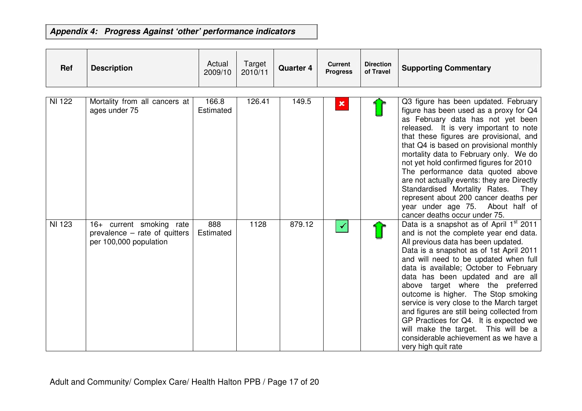| <b>Ref</b> | <b>Description</b> | Actual<br>2009/10 | $\sim$<br>Target<br>2010/11 | <b>Quarter 4</b> | Current<br><b>Progress</b> | <b>Direction</b><br>of Travel | <b>Supporting Commentary</b> |
|------------|--------------------|-------------------|-----------------------------|------------------|----------------------------|-------------------------------|------------------------------|
|            |                    |                   |                             |                  |                            |                               |                              |

| NI 122 | Mortality from all cancers at<br>ages under 75                                      | 166.8<br>Estimated | 126.41 | 149.5  | $\mathbf x$ | Q3 figure has been updated. February<br>figure has been used as a proxy for Q4<br>as February data has not yet been<br>released. It is very important to note<br>that these figures are provisional, and<br>that Q4 is based on provisional monthly<br>mortality data to February only. We do<br>not yet hold confirmed figures for 2010<br>The performance data quoted above<br>are not actually events: they are Directly<br>Standardised Mortality Rates.<br>They<br>represent about 200 cancer deaths per<br>year under age 75. About half of<br>cancer deaths occur under 75.                                  |
|--------|-------------------------------------------------------------------------------------|--------------------|--------|--------|-------------|---------------------------------------------------------------------------------------------------------------------------------------------------------------------------------------------------------------------------------------------------------------------------------------------------------------------------------------------------------------------------------------------------------------------------------------------------------------------------------------------------------------------------------------------------------------------------------------------------------------------|
| NI 123 | 16+ current smoking rate<br>prevalence – rate of quitters<br>per 100,000 population | 888<br>Estimated   | 1128   | 879.12 |             | Data is a snapshot as of April 1st 2011<br>and is not the complete year end data.<br>All previous data has been updated.<br>Data is a snapshot as of 1st April 2011<br>and will need to be updated when full<br>data is available; October to February<br>data has been updated and are all<br>above target where the preferred<br>outcome is higher. The Stop smoking<br>service is very close to the March target<br>and figures are still being collected from<br>GP Practices for Q4. It is expected we<br>will make the target. This will be a<br>considerable achievement as we have a<br>very high quit rate |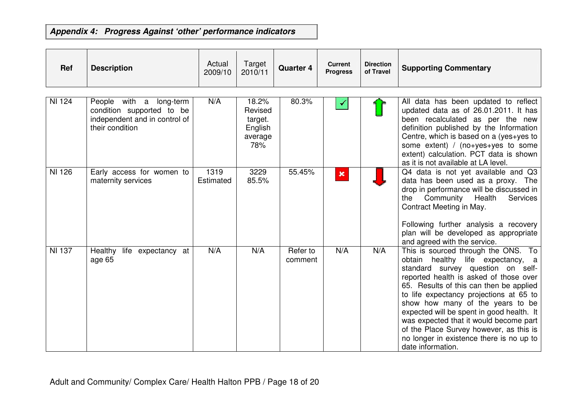| Ref           | <b>Description</b>                                                                                       | Actual<br>2009/10 | Target<br>2010/11                                        | <b>Quarter 4</b>    | <b>Current</b><br><b>Progress</b> | <b>Direction</b><br>of Travel | <b>Supporting Commentary</b>                                                                                                                                                                                                                                                                                                                                                                                                                                                            |
|---------------|----------------------------------------------------------------------------------------------------------|-------------------|----------------------------------------------------------|---------------------|-----------------------------------|-------------------------------|-----------------------------------------------------------------------------------------------------------------------------------------------------------------------------------------------------------------------------------------------------------------------------------------------------------------------------------------------------------------------------------------------------------------------------------------------------------------------------------------|
| NI 124        | People with a long-term<br>condition supported to be<br>independent and in control of<br>their condition | N/A               | 18.2%<br>Revised<br>target.<br>English<br>average<br>78% | 80.3%               |                                   |                               | All data has been updated to reflect<br>updated data as of 26.01.2011. It has<br>been recalculated as per the new<br>definition published by the Information<br>Centre, which is based on a (yes+yes to<br>some extent) / $(no+yes+yes$ to some<br>extent) calculation. PCT data is shown<br>as it is not available at LA level.                                                                                                                                                        |
| <b>NI 126</b> | Early access for women to<br>maternity services                                                          | 1319<br>Estimated | 3229<br>85.5%                                            | 55.45%              | $\pmb{\times}$                    |                               | Q4 data is not yet available and Q3<br>data has been used as a proxy. The<br>drop in performance will be discussed in<br>Community<br>Health<br>Services<br>the<br>Contract Meeting in May.<br>Following further analysis a recovery<br>plan will be developed as appropriate<br>and agreed with the service.                                                                                                                                                                           |
| <b>NI 137</b> | Healthy<br>life expectancy at<br>age 65                                                                  | N/A               | N/A                                                      | Refer to<br>comment | N/A                               | N/A                           | This is sourced through the ONS. To<br>healthy life expectancy, a<br>obtain<br>standard survey question on self-<br>reported health is asked of those over<br>65. Results of this can then be applied<br>to life expectancy projections at 65 to<br>show how many of the years to be<br>expected will be spent in good health. It<br>was expected that it would become part<br>of the Place Survey however, as this is<br>no longer in existence there is no up to<br>date information. |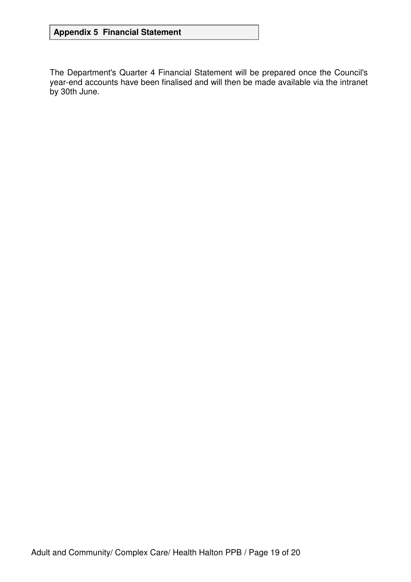## **Appendix 5 Financial Statement**

The Department's Quarter 4 Financial Statement will be prepared once the Council's year-end accounts have been finalised and will then be made available via the intranet by 30th June.